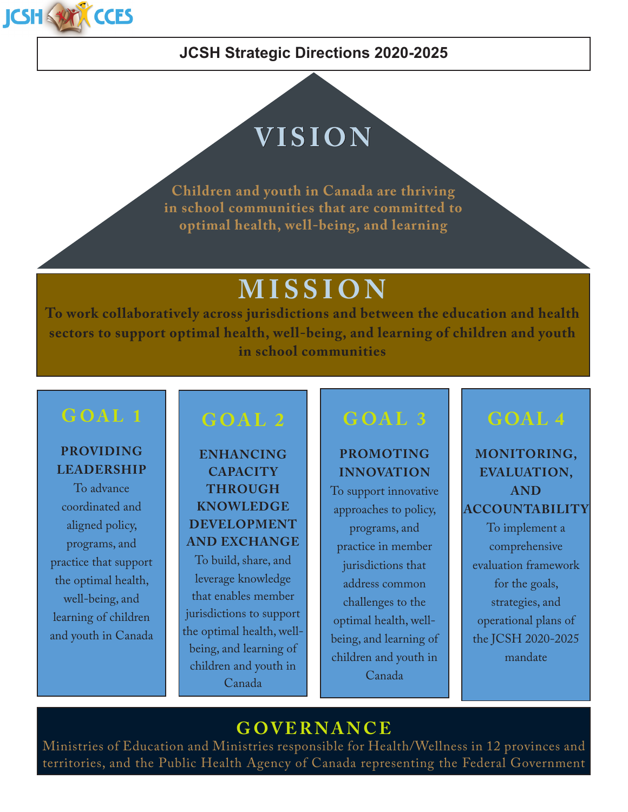

### **JCSH Strategic Directions 2020-2025**

# **VISION**

**Children and youth in Canada are thriving in school communities that are committed to optimal health, well-being, and learning**

# **MISSION**

**To work collaboratively across jurisdictions and between the education and health sectors to support optimal health, well-being, and learning of children and youth in school communities**

#### **PROVIDING LEADERSHIP**

To advance coordinated and aligned policy, programs, and practice that support the optimal health, well-being, and learning of children and youth in Canada

# **GOAL 2**

**ENHANCING CAPACITY THROUGH KNOWLEDGE DEVELOPMENT AND EXCHANGE** To build, share, and leverage knowledge that enables member jurisdictions to support the optimal health, wellbeing, and learning of children and youth in Canada

# **GOAL 3**

#### **PROMOTING INNOVATION**

To support innovative approaches to policy, programs, and practice in member jurisdictions that address common challenges to the optimal health, wellbeing, and learning of children and youth in Canada

# **GOAL 4**

**MONITORING, EVALUATION, AND ACCOUNTABILITY** To implement a comprehensive evaluation framework for the goals, strategies, and operational plans of the JCSH 2020-2025 mandate

### **GOVERNANCE**

Ministries of Education and Ministries responsible for Health/Wellness in 12 provinces and territories, and the Public Health Agency of Canada representing the Federal Government